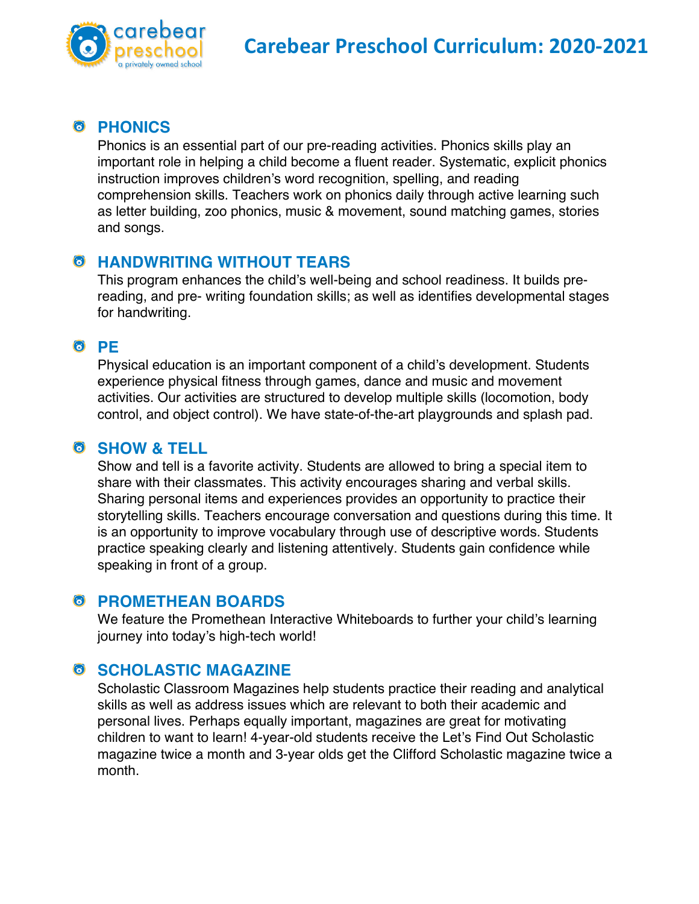

## **<sup><sup>O</sup>**</sup> PHONICS</sub>

Phonics is an essential part of our pre-reading activities. Phonics skills play an important role in helping a child become a fluent reader. Systematic, explicit phonics instruction improves children's word recognition, spelling, and reading comprehension skills. Teachers work on phonics daily through active learning such as letter building, zoo phonics, music & movement, sound matching games, stories and songs.

#### **HANDWRITING WITHOUT TEARS**

This program enhances the child's well-being and school readiness. It builds prereading, and pre- writing foundation skills; as well as identifies developmental stages for handwriting.

## **8** PE

Physical education is an important component of a child's development. Students experience physical fitness through games, dance and music and movement activities. Our activities are structured to develop multiple skills (locomotion, body control, and object control). We have state-of-the-art playgrounds and splash pad.

## **C** SHOW & TELL

Show and tell is a favorite activity. Students are allowed to bring a special item to share with their classmates. This activity encourages sharing and verbal skills. Sharing personal items and experiences provides an opportunity to practice their storytelling skills. Teachers encourage conversation and questions during this time. It is an opportunity to improve vocabulary through use of descriptive words. Students practice speaking clearly and listening attentively. Students gain confidence while speaking in front of a group.

## **PROMETHEAN BOARDS**

We feature the Promethean Interactive Whiteboards to further your child's learning journey into today's high-tech world!

# **8** SCHOLASTIC MAGAZINE

Scholastic Classroom Magazines help students practice their reading and analytical skills as well as address issues which are relevant to both their academic and personal lives. Perhaps equally important, magazines are great for motivating children to want to learn! 4-year-old students receive the Let's Find Out Scholastic magazine twice a month and 3-year olds get the Clifford Scholastic magazine twice a month.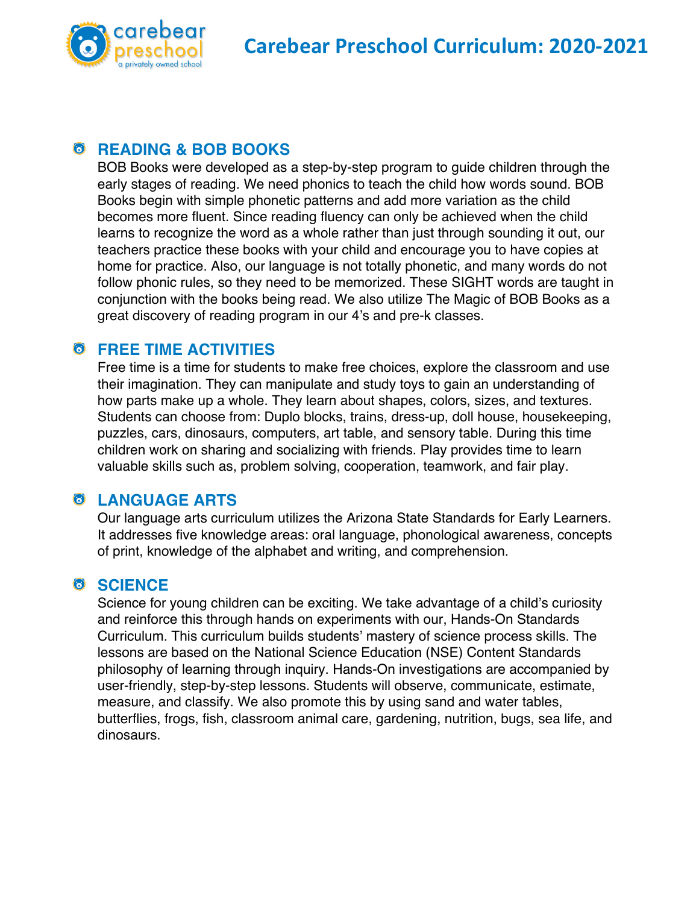

## **READING & BOB BOOKS**

BOB Books were developed as a step-by-step program to guide children through the early stages of reading. We need phonics to teach the child how words sound. BOB Books begin with simple phonetic patterns and add more variation as the child becomes more fluent. Since reading fluency can only be achieved when the child learns to recognize the word as a whole rather than just through sounding it out, our teachers practice these books with your child and encourage you to have copies at home for practice. Also, our language is not totally phonetic, and many words do not follow phonic rules, so they need to be memorized. These SIGHT words are taught in conjunction with the books being read. We also utilize The Magic of BOB Books as a great discovery of reading program in our 4's and pre-k classes.

#### **FREE TIME ACTIVITIES**

Free time is a time for students to make free choices, explore the classroom and use their imagination. They can manipulate and study toys to gain an understanding of how parts make up a whole. They learn about shapes, colors, sizes, and textures. Students can choose from: Duplo blocks, trains, dress-up, doll house, housekeeping, puzzles, cars, dinosaurs, computers, art table, and sensory table. During this time children work on sharing and socializing with friends. Play provides time to learn valuable skills such as, problem solving, cooperation, teamwork, and fair play.

#### **LANGUAGE ARTS**

Our language arts curriculum utilizes the Arizona State Standards for Early Learners. It addresses five knowledge areas: oral language, phonological awareness, concepts of print, knowledge of the alphabet and writing, and comprehension.

#### **SCIENCE**

Science for young children can be exciting. We take advantage of a child's curiosity and reinforce this through hands on experiments with our, Hands-On Standards Curriculum. This curriculum builds students' mastery of science process skills. The lessons are based on the National Science Education (NSE) Content Standards philosophy of learning through inquiry. Hands-On investigations are accompanied by user-friendly, step-by-step lessons. Students will observe, communicate, estimate, measure, and classify. We also promote this by using sand and water tables, butterflies, frogs, fish, classroom animal care, gardening, nutrition, bugs, sea life, and dinosaurs.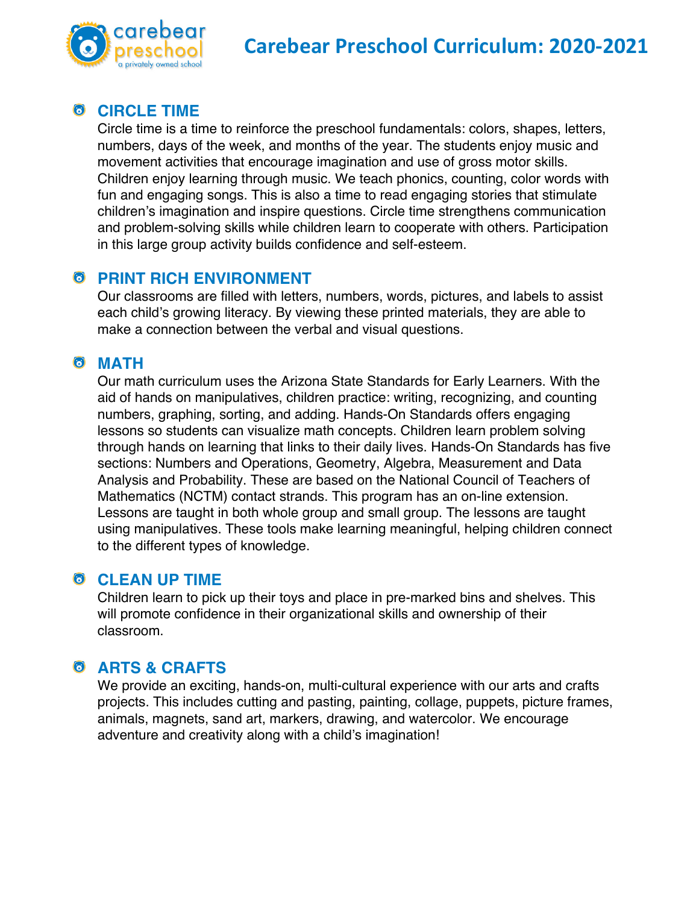

#### **CIRCLE TIME**

Circle time is a time to reinforce the preschool fundamentals: colors, shapes, letters, numbers, days of the week, and months of the year. The students enjoy music and movement activities that encourage imagination and use of gross motor skills. Children enjoy learning through music. We teach phonics, counting, color words with fun and engaging songs. This is also a time to read engaging stories that stimulate children's imagination and inspire questions. Circle time strengthens communication and problem-solving skills while children learn to cooperate with others. Participation in this large group activity builds confidence and self-esteem.

#### **C** PRINT RICH ENVIRONMENT

Our classrooms are filled with letters, numbers, words, pictures, and labels to assist each child's growing literacy. By viewing these printed materials, they are able to make a connection between the verbal and visual questions.

### **MATH**

Our math curriculum uses the Arizona State Standards for Early Learners. With the aid of hands on manipulatives, children practice: writing, recognizing, and counting numbers, graphing, sorting, and adding. Hands-On Standards offers engaging lessons so students can visualize math concepts. Children learn problem solving through hands on learning that links to their daily lives. Hands-On Standards has five sections: Numbers and Operations, Geometry, Algebra, Measurement and Data Analysis and Probability. These are based on the National Council of Teachers of Mathematics (NCTM) contact strands. This program has an on-line extension. Lessons are taught in both whole group and small group. The lessons are taught using manipulatives. These tools make learning meaningful, helping children connect to the different types of knowledge.

#### **CLEAN UP TIME**

Children learn to pick up their toys and place in pre-marked bins and shelves. This will promote confidence in their organizational skills and ownership of their classroom.

## **ARTS & CRAFTS**

We provide an exciting, hands-on, multi-cultural experience with our arts and crafts projects. This includes cutting and pasting, painting, collage, puppets, picture frames, animals, magnets, sand art, markers, drawing, and watercolor. We encourage adventure and creativity along with a child's imagination!